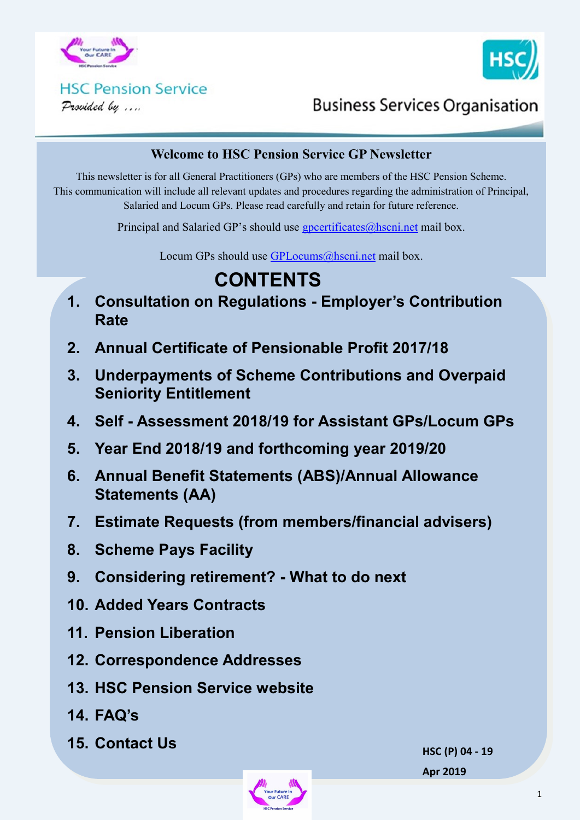



# **HSC Pension Service**

Provided by ....

# **Business Services Organisation**

#### **Welcome to HSC Pension Service GP Newsletter**

This newsletter is for all General Practitioners (GPs) who are members of the HSC Pension Scheme. This communication will include all relevant updates and procedures regarding the administration of Principal, Salaried and Locum GPs. Please read carefully and retain for future reference.

Principal and Salaried GP's should use  $g$  poertificates $@$  hscning mail box.

Locum GPs should use [GPLocums@hscni.net](mailto:GPLocums@hscni.net) mail box.

# **CONTENTS**

- **1. Consultation on Regulations - Employer's Contribution Rate**
- **2. Annual Certificate of Pensionable Profit 2017/18**
- **3. Underpayments of Scheme Contributions and Overpaid Seniority Entitlement**
- **4. Self - Assessment 2018/19 for Assistant GPs/Locum GPs**
- **5. Year End 2018/19 and forthcoming year 2019/20**
- **6. Annual Benefit Statements (ABS)/Annual Allowance Statements (AA)**
- **7. Estimate Requests (from members/financial advisers)**
- **8. Scheme Pays Facility**
- **9. Considering retirement? - What to do next**
- **10. Added Years Contracts**
- **11. Pension Liberation**
- **12. Correspondence Addresses**
- **13. HSC Pension Service website**
- **14. FAQ's**
- **15. Contact Us**

**HSC (P) 04 - 19 Apr 2019**

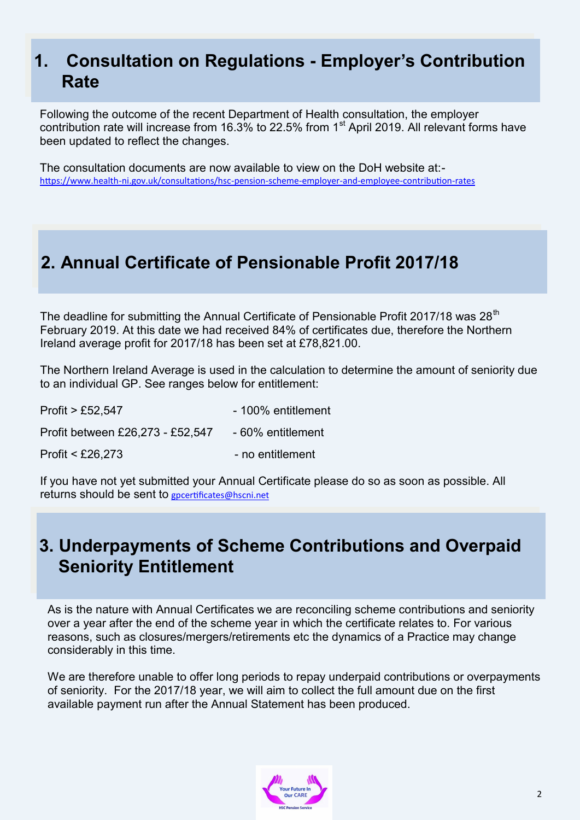## **1. Consultation on Regulations - Employer's Contribution Rate**

Following the outcome of the recent Department of Health consultation, the employer contribution rate will increase from 16.3% to 22.5% from 1<sup>st</sup> April 2019. All relevant forms have been updated to reflect the changes.

The consultation documents are now available to view on the DoH website at: https://www.health-[ni.gov.uk/consultations/hsc](https://www.health-ni.gov.uk/consultations/hsc-pension-scheme-employer-and-employee-contribution-rates)-pension-scheme-employer-and-employee-contribution-rates

## **2. Annual Certificate of Pensionable Profit 2017/18**

The deadline for submitting the Annual Certificate of Pensionable Profit 2017/18 was  $28<sup>th</sup>$ February 2019. At this date we had received 84% of certificates due, therefore the Northern Ireland average profit for 2017/18 has been set at £78,821.00.

The Northern Ireland Average is used in the calculation to determine the amount of seniority due to an individual GP. See ranges below for entitlement:

| Profit $>$ £52,547               | - 100% entitlement |
|----------------------------------|--------------------|
| Profit between £26,273 - £52,547 | - 60% entitlement  |
| Profit $<$ £26,273               | - no entitlement   |

If you have not yet submitted your Annual Certificate please do so as soon as possible. All returns should be sent to [gpcertificates@hscni.net](mailto:gpcertificates@hscni.net)

## **3. Underpayments of Scheme Contributions and Overpaid Seniority Entitlement**

As is the nature with Annual Certificates we are reconciling scheme contributions and seniority over a year after the end of the scheme year in which the certificate relates to. For various reasons, such as closures/mergers/retirements etc the dynamics of a Practice may change considerably in this time.

We are therefore unable to offer long periods to repay underpaid contributions or overpayments of seniority. For the 2017/18 year, we will aim to collect the full amount due on the first available payment run after the Annual Statement has been produced.

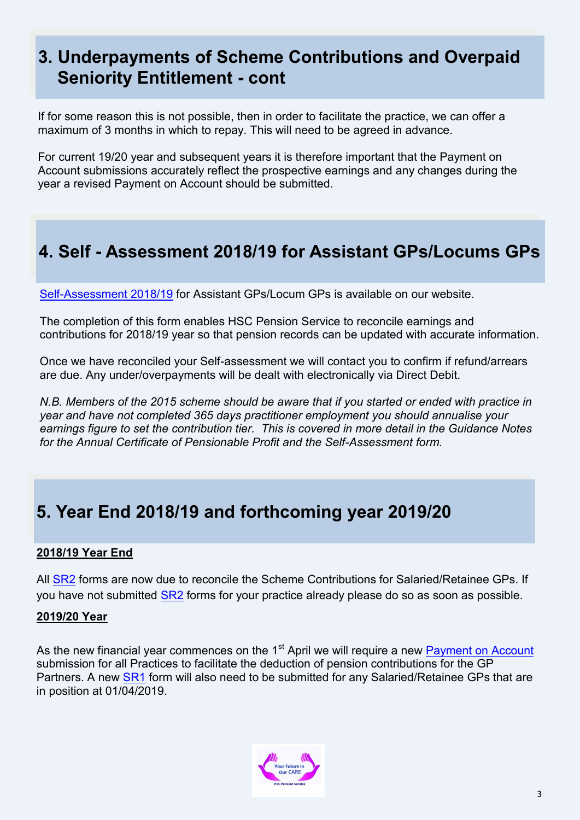## **3. Underpayments of Scheme Contributions and Overpaid Seniority Entitlement - cont**

If for some reason this is not possible, then in order to facilitate the practice, we can offer a maximum of 3 months in which to repay. This will need to be agreed in advance.

For current 19/20 year and subsequent years it is therefore important that the Payment on Account submissions accurately reflect the prospective earnings and any changes during the year a revised Payment on Account should be submitted.

# **4. Self - Assessment 2018/19 for Assistant GPs/Locums GPs**

Self-[Assessment 2018/19](http://www.hscpensions.hscni.net/download/Scheme%20Forms/2018-19-SELF-ASSESSMENT.xls) for Assistant GPs/Locum GPs is available on our website.

The completion of this form enables HSC Pension Service to reconcile earnings and contributions for 2018/19 year so that pension records can be updated with accurate information.

Once we have reconciled your Self-assessment we will contact you to confirm if refund/arrears are due. Any under/overpayments will be dealt with electronically via Direct Debit.

*N.B. Members of the 2015 scheme should be aware that if you started or ended with practice in year and have not completed 365 days practitioner employment you should annualise your earnings figure to set the contribution tier. This is covered in more detail in the Guidance Notes for the Annual Certificate of Pensionable Profit and the Self-Assessment form.*

# **5. Year End 2018/19 and forthcoming year 2019/20**

#### **2018/19 Year End**

All **SR2** forms are now due to reconcile the Scheme Contributions for Salaried/Retainee GPs. If you have not submitted [SR2](http://www.hscpensions.hscni.net/download/Practitioners/SR2-Form-for-Salaried-GPs-2018-19.pdf) forms for your practice already please do so as soon as possible.

#### **2019/20 Year**

As the new financial year commences on the 1<sup>st</sup> April we will require a new [Payment on Account](http://www.hscpensions.hscni.net/download/Scheme%20Forms/POA-2019-20-Ver-April-19.xlsx) submission for all Practices to facilitate the deduction of pension contributions for the GP Partners. A new [SR1](http://www.hscpensions.hscni.net/download/Scheme%20Forms/SR1-2019-20-Ver-April-19.docx) form will also need to be submitted for any Salaried/Retainee GPs that are in position at 01/04/2019.

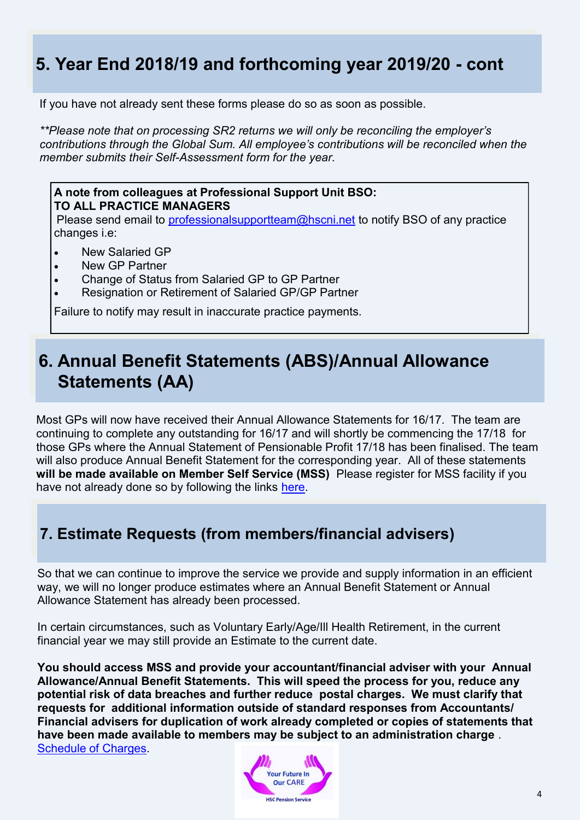# **5. Year End 2018/19 and forthcoming year 2019/20 - cont**

If you have not already sent these forms please do so as soon as possible.

*\*\*Please note that on processing SR2 returns we will only be reconciling the employer's contributions through the Global Sum. All employee's contributions will be reconciled when the member submits their Self-Assessment form for the year.*

#### **A note from colleagues at Professional Support Unit BSO: TO ALL PRACTICE MANAGERS**

Please send email to [professionalsupportteam@hscni.net](mailto:professionalsupportteam@hscni.net) to notify BSO of any practice changes i.e:

- New Salaried GP
- New GP Partner
- Change of Status from Salaried GP to GP Partner
- Resignation or Retirement of Salaried GP/GP Partner

Failure to notify may result in inaccurate practice payments.

## **6. Annual Benefit Statements (ABS)/Annual Allowance Statements (AA)**

Most GPs will now have received their Annual Allowance Statements for 16/17. The team are continuing to complete any outstanding for 16/17 and will shortly be commencing the 17/18 for those GPs where the Annual Statement of Pensionable Profit 17/18 has been finalised. The team will also produce Annual Benefit Statement for the corresponding year. All of these statements **will be made available on Member Self Service (MSS)** Please register for MSS facility if you have not already done so by following the links [here.](https://mypension.hscni.net/)

### **7. Estimate Requests (from members/financial advisers)**

So that we can continue to improve the service we provide and supply information in an efficient way, we will no longer produce estimates where an Annual Benefit Statement or Annual Allowance Statement has already been processed.

In certain circumstances, such as Voluntary Early/Age/Ill Health Retirement, in the current financial year we may still provide an Estimate to the current date.

**You should access MSS and provide your accountant/financial adviser with your Annual Allowance/Annual Benefit Statements. This will speed the process for you, reduce any potential risk of data breaches and further reduce postal charges. We must clarify that requests for additional information outside of standard responses from Accountants/ Financial advisers for duplication of work already completed or copies of statements that have been made available to members may be subject to an administration charge** . [Schedule of Charges.](http://www.hscpensions.hscni.net/download/Scheme%20Forms/employer_forms/Schedule-of-Charges-Member.pdf) 

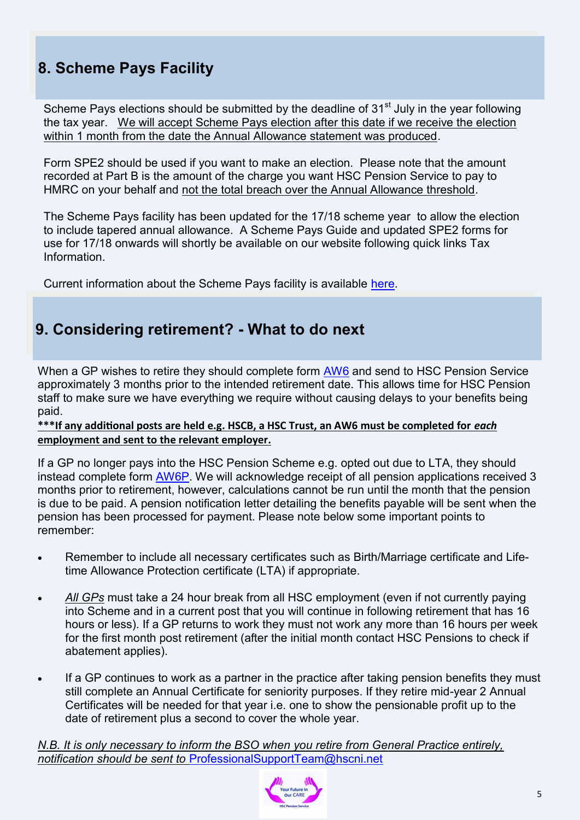## **8. Scheme Pays Facility**

Scheme Pays elections should be submitted by the deadline of 31<sup>st</sup> July in the year following the tax year. We will accept Scheme Pays election after this date if we receive the election within 1 month from the date the Annual Allowance statement was produced.

Form SPE2 should be used if you want to make an election. Please note that the amount recorded at Part B is the amount of the charge you want HSC Pension Service to pay to HMRC on your behalf and not the total breach over the Annual Allowance threshold.

The Scheme Pays facility has been updated for the 17/18 scheme year to allow the election to include tapered annual allowance. A Scheme Pays Guide and updated SPE2 forms for use for 17/18 onwards will shortly be available on our website following quick links Tax **Information** 

Current information about the Scheme Pays facility is available [here.](http://www.hscpensions.hscni.net/scheme-pays/)

### **9. Considering retirement? - What to do next**

When a GP wishes to retire they should complete form [AW6](http://www.hscpensions.hscni.net/download/Scheme%20Forms/AW6-V1-4.pdf) and send to HSC Pension Service approximately 3 months prior to the intended retirement date. This allows time for HSC Pension staff to make sure we have everything we require without causing delays to your benefits being paid.

**\*\*\*If any additional posts are held e.g. HSCB, a HSC Trust, an AW6 must be completed for** *each* **employment and sent to the relevant employer.**

If a GP no longer pays into the HSC Pension Scheme e.g. opted out due to LTA, they should instead complete form [AW6P.](http://www.hscpensions.hscni.net/download/Scheme%20Forms/AW6-P-Jun-2-1.pdf) We will acknowledge receipt of all pension applications received 3 months prior to retirement, however, calculations cannot be run until the month that the pension is due to be paid. A pension notification letter detailing the benefits payable will be sent when the pension has been processed for payment. Please note below some important points to remember:

- Remember to include all necessary certificates such as Birth/Marriage certificate and Lifetime Allowance Protection certificate (LTA) if appropriate.
- *All GPs* must take a 24 hour break from all HSC employment (even if not currently paying into Scheme and in a current post that you will continue in following retirement that has 16 hours or less). If a GP returns to work they must not work any more than 16 hours per week for the first month post retirement (after the initial month contact HSC Pensions to check if abatement applies).
- If a GP continues to work as a partner in the practice after taking pension benefits they must still complete an Annual Certificate for seniority purposes. If they retire mid-year 2 Annual Certificates will be needed for that year i.e. one to show the pensionable profit up to the date of retirement plus a second to cover the whole year.

*N.B. It is only necessary to inform the BSO when you retire from General Practice entirely, notification should be sent to* [ProfessionalSupportTeam@hscni.net](mailto:ProfessionalSupportTeam@hscni.net)

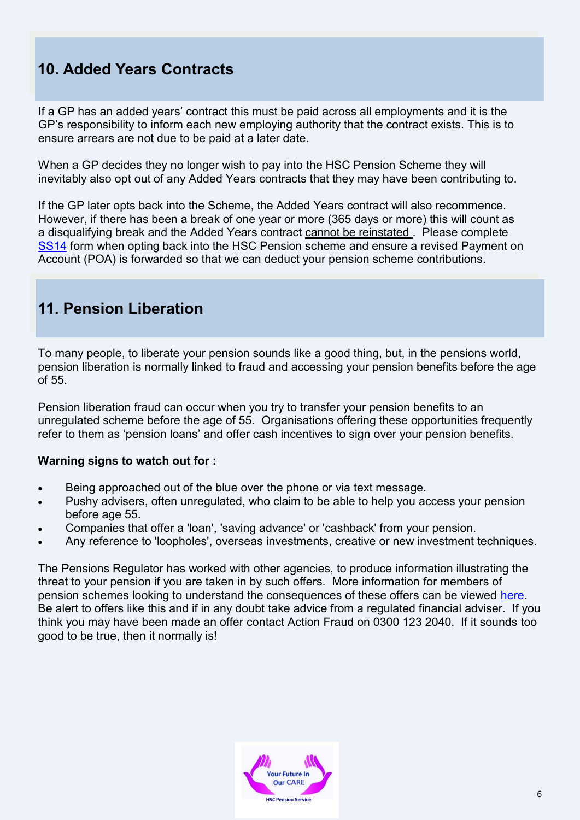## **10. Added Years Contracts**

If a GP has an added years' contract this must be paid across all employments and it is the GP's responsibility to inform each new employing authority that the contract exists. This is to ensure arrears are not due to be paid at a later date.

When a GP decides they no longer wish to pay into the HSC Pension Scheme they will inevitably also opt out of any Added Years contracts that they may have been contributing to.

If the GP later opts back into the Scheme, the Added Years contract will also recommence. However, if there has been a break of one year or more (365 days or more) this will count as a disqualifying break and the Added Years contract cannot be reinstated . Please complete [SS14](http://www.hscpensions.hscni.net/download/Scheme%20Forms/SS14-Oct-18-1.pdf) form when opting back into the HSC Pension scheme and ensure a revised Payment on Account (POA) is forwarded so that we can deduct your pension scheme contributions.

### **11. Pension Liberation**

To many people, to liberate your pension sounds like a good thing, but, in the pensions world, pension liberation is normally linked to fraud and accessing your pension benefits before the age of 55.

Pension liberation fraud can occur when you try to transfer your pension benefits to an unregulated scheme before the age of 55. Organisations offering these opportunities frequently refer to them as 'pension loans' and offer cash incentives to sign over your pension benefits.

#### **Warning signs to watch out for :**

- Being approached out of the blue over the phone or via text message.
- Pushy advisers, often unregulated, who claim to be able to help you access your pension before age 55.
- Companies that offer a 'loan', 'saving advance' or 'cashback' from your pension.
- Any reference to 'loopholes', overseas investments, creative or new investment techniques.

The Pensions Regulator has worked with other agencies, to produce information illustrating the threat to your pension if you are taken in by such offers. More information for members of pension schemes looking to understand the consequences of these offers can be viewed [here.](https://www.thepensionsregulator.gov.uk/pension-scams)  Be alert to offers like this and if in any doubt take advice from a regulated financial adviser. If you think you may have been made an offer contact Action Fraud on 0300 123 2040. If it sounds too good to be true, then it normally is!

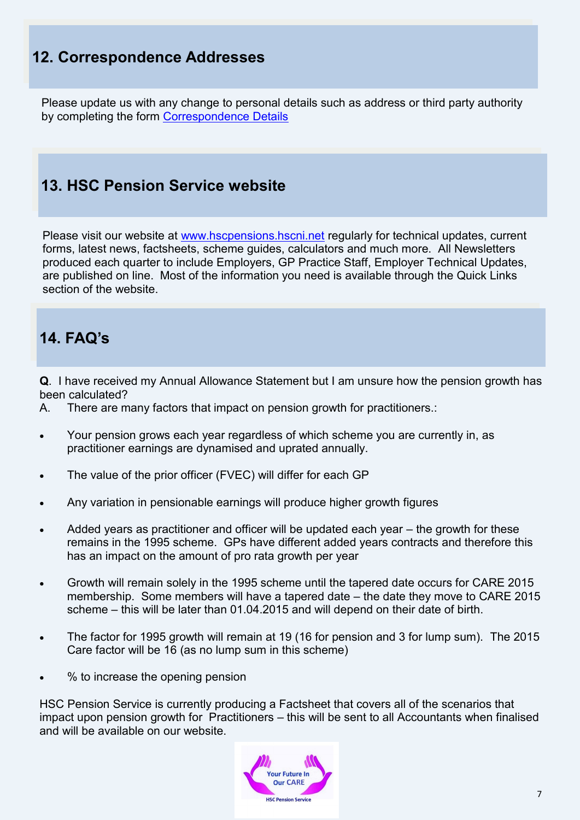### **12. Correspondence Addresses**

Please update us with any change to personal details such as address or third party authority by completing the form [Correspondence Details](http://www.hscpensions.hscni.net/download/CORRESPONDENCE-DETAILS.docx)

### **13. HSC Pension Service website**

Please visit our website at [www.hscpensions.hscni.net](http://www.hscpensions.hscni.net) regularly for technical updates, current forms, latest news, factsheets, scheme guides, calculators and much more. All Newsletters produced each quarter to include Employers, GP Practice Staff, Employer Technical Updates, are published on line. Most of the information you need is available through the Quick Links section of the website.

### **14. FAQ's**

**Q**. I have received my Annual Allowance Statement but I am unsure how the pension growth has been calculated?

- A. There are many factors that impact on pension growth for practitioners.:
- Your pension grows each year regardless of which scheme you are currently in, as practitioner earnings are dynamised and uprated annually.
- The value of the prior officer (FVEC) will differ for each GP
- Any variation in pensionable earnings will produce higher growth figures
- Added years as practitioner and officer will be updated each year the growth for these remains in the 1995 scheme. GPs have different added years contracts and therefore this has an impact on the amount of pro rata growth per year
- Growth will remain solely in the 1995 scheme until the tapered date occurs for CARE 2015 membership. Some members will have a tapered date – the date they move to CARE 2015 scheme – this will be later than 01.04.2015 and will depend on their date of birth.
- The factor for 1995 growth will remain at 19 (16 for pension and 3 for lump sum). The 2015 Care factor will be 16 (as no lump sum in this scheme)
- % to increase the opening pension

HSC Pension Service is currently producing a Factsheet that covers all of the scenarios that impact upon pension growth for Practitioners – this will be sent to all Accountants when finalised and will be available on our website.